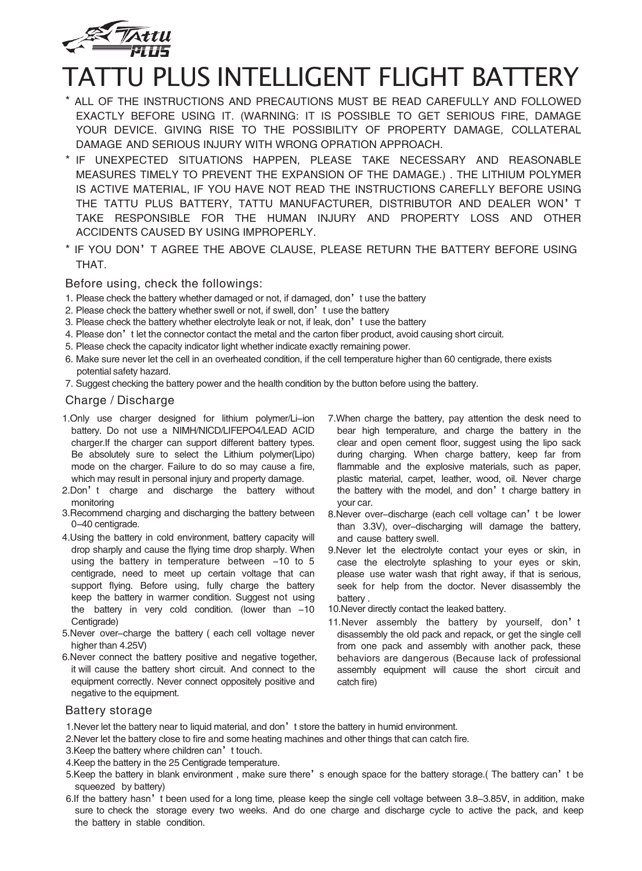

# TATTU PLUS INTELLIGENT FLIGHT BATTERY

- \* ALL OF THE INSTRUCTIONS AND PRECAUTIONS MUST BE READ CAREFULLY AND FOLLOWED EXACTLY BEFORE USING IT. (WARNING: IT IS POSSIBLE TO GET SERIOUS FIRE, DAMAGE YOUR DEVICE. GIVING RISE TO THE POSSIBILITY OF PROPERTY DAMAGE, COLLATERAL DAMAGE AND SERIOUS INJURY WITH WRONG OPRATION APPROACH.
- \* IF UNEXPECTED SITUATIONS HAPPEN, PLEASE TAKE NECESSARY AND REASONABLE MEASURES TIMELY TO PREVENT THE EXPANSION OF THE DAMAGE.) . THE LITHIUM POLYMER IS ACTIVE MATERIAL, IF YOU HAVE NOT READ THE INSTRUCTIONS CAREFLLY BEFORE USING THE TATTU PLUS BATTERY, TATTU MANUFACTURER, DISTRIBUTOR AND DEALER WON'T TAKE RESPONSIBLE FOR THE HUMAN INJURY AND PROPERTY LOSS AND OTHER ACCIDENTS CAUSED BY USING IMPROPERLY.
- \* IF YOU DON'T AGREE THE ABOVE CLAUSE, PLEASE RETURN THE BATTERY BEFORE USING THAT.

Before using, check the followings:

- 1. Please check the battery whether damaged or not, if damaged, don't use the battery
- 2. Please check the battery whether swell or not, if swell, don't use the battery
- 3. Please check the battery whether electrolyte leak or not, if leak, don't use the battery
- 4. Please don't let the connector contact the metal and the carton fiber product, avoid causing short circuit.
- 5. Please check the capacity indicator light whether indicate exactly remaining power.
- 6. Make sure never let the cell in an overheated condition, if the cell temperature higher than 60 centigrade, there exists potential safety hazard.
- 7. Suggest checking the battery power and the health condition by the button before using the battery.

#### Charge / Discharge

- 1.Only use charger designed for lithium polymer/Li-ion battery. Do not use a NIMH/NICD/LIFEPO4/LEAD ACID charger.If the charger can support different battery types. Be absolutely sure to select the Lithium polymer(Lipo) mode on the charger. Failure to do so may cause a fire, which may result in personal injury and property damage.
- 2.Don't charge and discharge the battery without monitoring
- 3.Recommend charging and discharging the battery between 0-40 centigrade.
- 4.Using the battery in cold environment, battery capacity will drop sharply and cause the flying time drop sharply. When using the battery in temperature between  $-10$  to 5 centigrade, need to meet up certain voltage that can support flying. Before using, fully charge the battery keep the battery in warmer condition. Suggest not using the battery in very cold condition. (lower than  $-10$ Centigrade)
- 5.Never over-charge the battery ( each cell voltage never higher than 4.25V)
- 6.Never connect the battery positive and negative together, it will cause the battery short circuit. And connect to the equipment correctly. Never connect oppositely positive and negative to the equipment.
- 7.When charge the battery, pay attention the desk need to bear high temperature, and charge the battery in the clear and open cement floor, suggest using the lipo sack during charging. When charge battery, keep far from flammable and the explosive materials, such as paper, plastic material, carpet, leather, wood, oil. Never charge the battery with the model, and don't charge battery in your car.
- 8.Never over-discharge (each cell voltage can't be lower than 3.3V), over-discharging will damage the battery, and cause battery swell.
- 9.Never let the electrolyte contact your eyes or skin, in case the electrolyte splashing to your eyes or skin, please use water wash that right away, if that is serious, seek for help from the doctor. Never disassembly the battery .
- 10.Never directly contact the leaked battery.
- 11.Never assembly the battery by yourself, don't disassembly the old pack and repack, or get the single cell from one pack and assembly with another pack, these behaviors are dangerous (Because lack of professional assembly equipment will cause the short circuit and catch fire)

#### Battery storage

- 1. Never let the battery near to liquid material, and don't store the battery in humid environment.
- 2.Never let the battery close to fire and some heating machines and other things that can catch fire.
- 3. Keep the battery where children can't touch.
- 4.Keep the battery in the 25 Centigrade temperature.
- 5.Keep the battery in blank environment , make sure there's enough space for the battery storage.( The battery can't be squeezed by battery)
- 6.If the battery hasn't been used for a long time, please keep the single cell voltage between 3.8-3.85V, in addition, make sure to check the storage every two weeks. And do one charge and discharge cycle to active the pack, and keep the battery in stable condition.